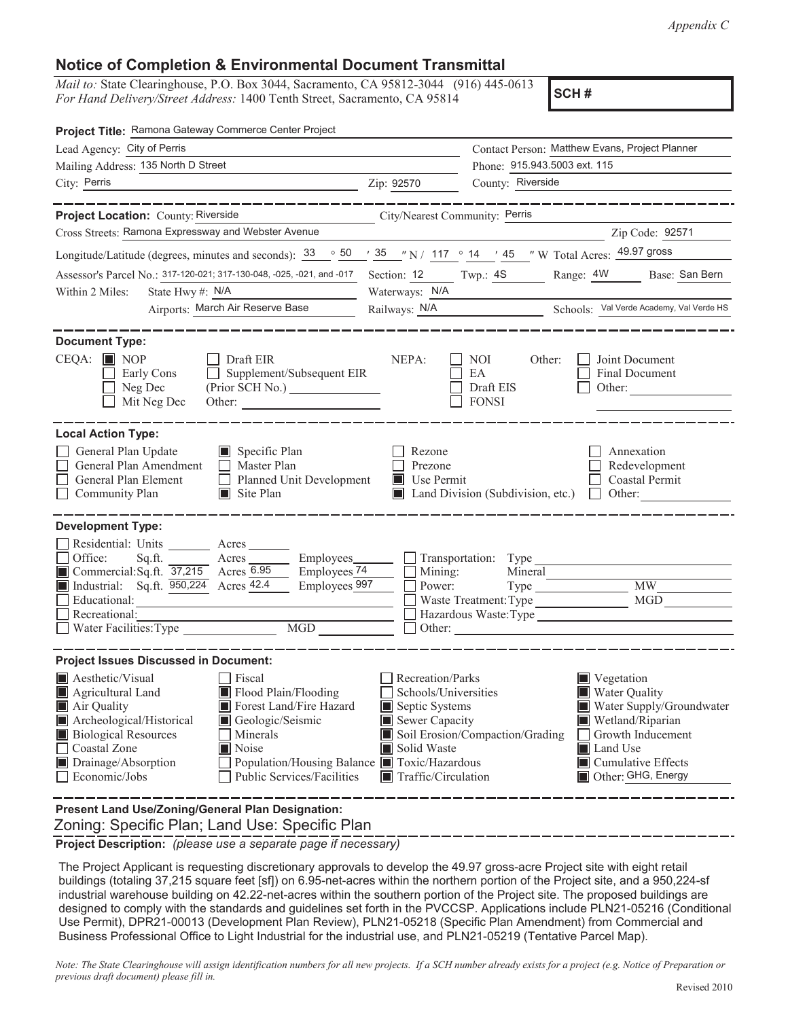*Appendix C*

## **Notice of Completion & Environmental Document Transmittal**

*Mail to:* State Clearinghouse, P.O. Box 3044, Sacramento, CA 95812-3044 (916) 445-0613 *For Hand Delivery/Street Address:* 1400 Tenth Street, Sacramento, CA 95814

**SCH #**

| Project Title: Ramona Gateway Commerce Center Project                                                                                                                                                                                                                                                                                                                                       |                                                                                                                                         |                                                                                                                                                                                                            |  |
|---------------------------------------------------------------------------------------------------------------------------------------------------------------------------------------------------------------------------------------------------------------------------------------------------------------------------------------------------------------------------------------------|-----------------------------------------------------------------------------------------------------------------------------------------|------------------------------------------------------------------------------------------------------------------------------------------------------------------------------------------------------------|--|
| Lead Agency: City of Perris                                                                                                                                                                                                                                                                                                                                                                 | Contact Person: Matthew Evans, Project Planner                                                                                          |                                                                                                                                                                                                            |  |
| Mailing Address: 135 North D Street                                                                                                                                                                                                                                                                                                                                                         |                                                                                                                                         | Phone: 915.943.5003 ext. 115                                                                                                                                                                               |  |
| City: Perris                                                                                                                                                                                                                                                                                                                                                                                | Zip: 92570                                                                                                                              | County: Riverside                                                                                                                                                                                          |  |
| ------------                                                                                                                                                                                                                                                                                                                                                                                |                                                                                                                                         |                                                                                                                                                                                                            |  |
| Project Location: County: Riverside                                                                                                                                                                                                                                                                                                                                                         | City/Nearest Community: Perris                                                                                                          |                                                                                                                                                                                                            |  |
| Cross Streets: Ramona Expressway and Webster Avenue                                                                                                                                                                                                                                                                                                                                         |                                                                                                                                         | Zip Code: 92571<br><u> 1989 - Johann Barn, fransk politik amerikansk politik (</u>                                                                                                                         |  |
| Longitude/Latitude (degrees, minutes and seconds): $\frac{33}{50}$ $\frac{50}{50}$ $\frac{35}{50}$ N / 117 $\degree$ 14 $\degree$ 45 $\degree$ W Total Acres: $\frac{49.97 \text{ gross}}{50}$                                                                                                                                                                                              |                                                                                                                                         |                                                                                                                                                                                                            |  |
| Assessor's Parcel No.: 317-120-021; 317-130-048, -025, -021, and -017                                                                                                                                                                                                                                                                                                                       |                                                                                                                                         | Section: 12 Twp.: 48 Range: 4W Base: San Bern                                                                                                                                                              |  |
| State Hwy #: N/A<br>Within 2 Miles:                                                                                                                                                                                                                                                                                                                                                         | Waterways: N/A                                                                                                                          |                                                                                                                                                                                                            |  |
| Airports: March Air Reserve Base                                                                                                                                                                                                                                                                                                                                                            |                                                                                                                                         | Railways: N/A Schools: Val Verde Academy, Val Verde HS                                                                                                                                                     |  |
| <b>Document Type:</b><br>$CEQA:$ MOP<br>Draft EIR<br>$\Box$ Supplement/Subsequent EIR<br>Early Cons<br>Neg Dec<br>Mit Neg Dec                                                                                                                                                                                                                                                               | NEPA:                                                                                                                                   | NOI<br>Other:<br>Joint Document<br>EA<br>Final Document<br>Draft EIS<br>Other:<br><b>FONSI</b>                                                                                                             |  |
| <b>Local Action Type:</b><br>General Plan Update<br>Specific Plan<br>General Plan Amendment<br>$\Box$ Master Plan<br>General Plan Element<br>Planned Unit Development<br>Community Plan<br>$\blacksquare$ Site Plan                                                                                                                                                                         | Rezone<br>Prezone<br>Use Permit                                                                                                         | Annexation<br>Redevelopment<br>Coastal Permit<br>Land Division (Subdivision, etc.)<br>$\mathbf{L}$<br>Other:                                                                                               |  |
| <b>Development Type:</b><br>Residential: Units ________ Acres _______                                                                                                                                                                                                                                                                                                                       |                                                                                                                                         |                                                                                                                                                                                                            |  |
| Office:<br>Employees_______<br>Sq.ft.<br>Acres<br>Employees <sup>74</sup><br>Commercial:Sq.ft. 37,215 Acres 6.95<br>$\Box$ Industrial: Sq.ft. $\overline{950,224}$ Acres 42.4<br>Employees 997<br>Educational:<br>Recreational:<br>MGD<br>Water Facilities: Type                                                                                                                            | Mining:<br>Power:                                                                                                                       | $\Box$ Transportation: Type<br>Mineral<br>MW<br>MGD<br>Waste Treatment: Type<br>Hazardous Waste:Type <sup>-</sup>                                                                                          |  |
| <b>Project Issues Discussed in Document:</b>                                                                                                                                                                                                                                                                                                                                                |                                                                                                                                         |                                                                                                                                                                                                            |  |
| $\blacksquare$ Aesthetic/Visual<br>  Fiscal<br>Flood Plain/Flooding<br>Agricultural Land<br>Forest Land/Fire Hazard<br>$\blacksquare$ Air Quality<br>Archeological/Historical<br>Geologic/Seismic<br><b>Biological Resources</b><br>Minerals<br>Coastal Zone<br>Noise<br>Drainage/Absorption<br>Population/Housing Balance ■ Toxic/Hazardous<br>Economic/Jobs<br>Public Services/Facilities | Recreation/Parks<br>Schools/Universities<br>Septic Systems<br>Sewer Capacity<br>Solid Waste<br>LЦ<br>$\blacksquare$ Traffic/Circulation | Vegetation<br>Water Quality<br>Water Supply/Groundwater<br>Wetland/Riparian<br>Soil Erosion/Compaction/Grading<br>Growth Inducement<br>Land Use<br>$\blacksquare$ Cumulative Effects<br>Other: GHG, Energy |  |

 Zoning: Specific Plan; Land Use: Specific Plan **Present Land Use/Zoning/General Plan Designation:**

**Project Description:** *(please use a separate page if necessary)*

 The Project Applicant is requesting discretionary approvals to develop the 49.97 gross-acre Project site with eight retail buildings (totaling 37,215 square feet [sf]) on 6.95-net-acres within the northern portion of the Project site, and a 950,224-sf industrial warehouse building on 42.22-net-acres within the southern portion of the Project site. The proposed buildings are designed to comply with the standards and guidelines set forth in the PVCCSP. Applications include PLN21-05216 (Conditional Use Permit), DPR21-00013 (Development Plan Review), PLN21-05218 (Specific Plan Amendment) from Commercial and Business Professional Office to Light Industrial for the industrial use, and PLN21-05219 (Tentative Parcel Map).

*Note: The State Clearinghouse will assign identification numbers for all new projects. If a SCH number already exists for a project (e.g. Notice of Preparation or previous draft document) please fill in.*